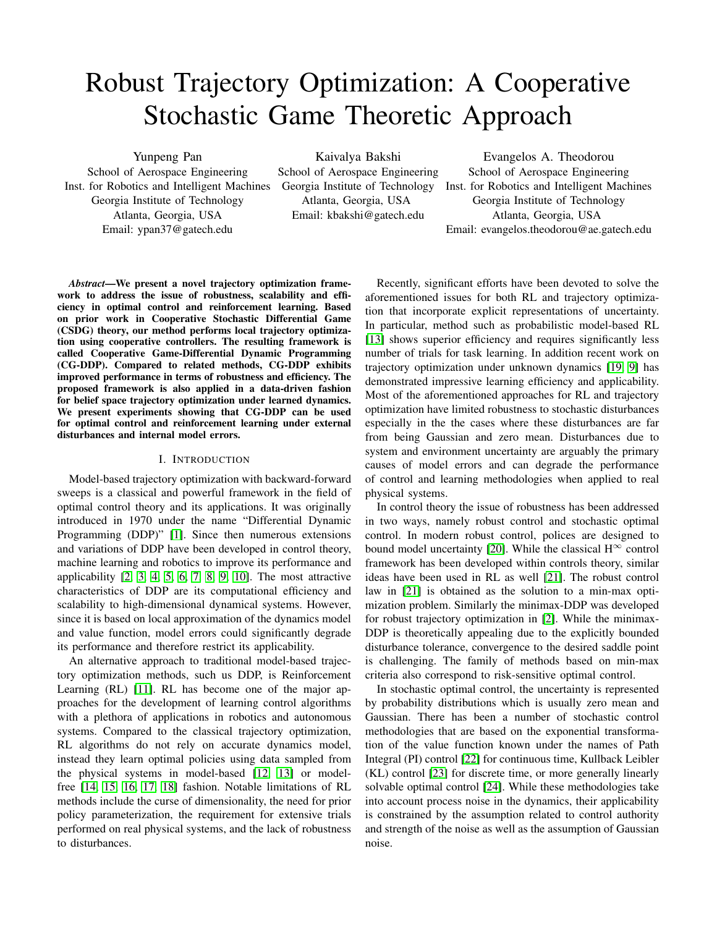# Robust Trajectory Optimization: A Cooperative Stochastic Game Theoretic Approach

Yunpeng Pan

School of Aerospace Engineering Inst. for Robotics and Intelligent Machines Georgia Institute of Technology Atlanta, Georgia, USA Email: ypan37@gatech.edu

Kaivalya Bakshi

School of Aerospace Engineering Georgia Institute of Technology Atlanta, Georgia, USA Email: kbakshi@gatech.edu

Evangelos A. Theodorou School of Aerospace Engineering Inst. for Robotics and Intelligent Machines Georgia Institute of Technology Atlanta, Georgia, USA Email: evangelos.theodorou@ae.gatech.edu

*Abstract*—We present a novel trajectory optimization framework to address the issue of robustness, scalability and efficiency in optimal control and reinforcement learning. Based on prior work in Cooperative Stochastic Differential Game (CSDG) theory, our method performs local trajectory optimization using cooperative controllers. The resulting framework is called Cooperative Game-Differential Dynamic Programming (CG-DDP). Compared to related methods, CG-DDP exhibits improved performance in terms of robustness and efficiency. The proposed framework is also applied in a data-driven fashion for belief space trajectory optimization under learned dynamics. We present experiments showing that CG-DDP can be used for optimal control and reinforcement learning under external disturbances and internal model errors.

## I. INTRODUCTION

Model-based trajectory optimization with backward-forward sweeps is a classical and powerful framework in the field of optimal control theory and its applications. It was originally introduced in 1970 under the name "Differential Dynamic Programming (DDP)" [\[1\]](#page-7-0). Since then numerous extensions and variations of DDP have been developed in control theory, machine learning and robotics to improve its performance and applicability  $[2, 3, 4, 5, 6, 7, 8, 9, 10]$  $[2, 3, 4, 5, 6, 7, 8, 9, 10]$  $[2, 3, 4, 5, 6, 7, 8, 9, 10]$  $[2, 3, 4, 5, 6, 7, 8, 9, 10]$  $[2, 3, 4, 5, 6, 7, 8, 9, 10]$  $[2, 3, 4, 5, 6, 7, 8, 9, 10]$  $[2, 3, 4, 5, 6, 7, 8, 9, 10]$  $[2, 3, 4, 5, 6, 7, 8, 9, 10]$  $[2, 3, 4, 5, 6, 7, 8, 9, 10]$ . The most attractive characteristics of DDP are its computational efficiency and scalability to high-dimensional dynamical systems. However, since it is based on local approximation of the dynamics model and value function, model errors could significantly degrade its performance and therefore restrict its applicability.

An alternative approach to traditional model-based trajectory optimization methods, such us DDP, is Reinforcement Learning (RL) [\[11\]](#page-8-6). RL has become one of the major approaches for the development of learning control algorithms with a plethora of applications in robotics and autonomous systems. Compared to the classical trajectory optimization, RL algorithms do not rely on accurate dynamics model, instead they learn optimal policies using data sampled from the physical systems in model-based [\[12,](#page-8-7) [13\]](#page-8-8) or modelfree [\[14,](#page-8-9) [15,](#page-8-10) [16,](#page-8-11) [17,](#page-8-12) [18\]](#page-8-13) fashion. Notable limitations of RL methods include the curse of dimensionality, the need for prior policy parameterization, the requirement for extensive trials performed on real physical systems, and the lack of robustness to disturbances.

Recently, significant efforts have been devoted to solve the aforementioned issues for both RL and trajectory optimization that incorporate explicit representations of uncertainty. In particular, method such as probabilistic model-based RL [\[13\]](#page-8-8) shows superior efficiency and requires significantly less number of trials for task learning. In addition recent work on trajectory optimization under unknown dynamics [\[19,](#page-8-14) [9\]](#page-8-4) has demonstrated impressive learning efficiency and applicability. Most of the aforementioned approaches for RL and trajectory optimization have limited robustness to stochastic disturbances especially in the the cases where these disturbances are far from being Gaussian and zero mean. Disturbances due to system and environment uncertainty are arguably the primary causes of model errors and can degrade the performance of control and learning methodologies when applied to real physical systems.

In control theory the issue of robustness has been addressed in two ways, namely robust control and stochastic optimal control. In modern robust control, polices are designed to bound model uncertainty [\[20\]](#page-8-15). While the classical  $H^{\infty}$  control framework has been developed within controls theory, similar ideas have been used in RL as well [\[21\]](#page-8-16). The robust control law in [\[21\]](#page-8-16) is obtained as the solution to a min-max optimization problem. Similarly the minimax-DDP was developed for robust trajectory optimization in [\[2\]](#page-7-1). While the minimax-DDP is theoretically appealing due to the explicitly bounded disturbance tolerance, convergence to the desired saddle point is challenging. The family of methods based on min-max criteria also correspond to risk-sensitive optimal control.

In stochastic optimal control, the uncertainty is represented by probability distributions which is usually zero mean and Gaussian. There has been a number of stochastic control methodologies that are based on the exponential transformation of the value function known under the names of Path Integral (PI) control [\[22\]](#page-8-17) for continuous time, Kullback Leibler (KL) control [\[23\]](#page-8-18) for discrete time, or more generally linearly solvable optimal control [\[24\]](#page-8-19). While these methodologies take into account process noise in the dynamics, their applicability is constrained by the assumption related to control authority and strength of the noise as well as the assumption of Gaussian noise.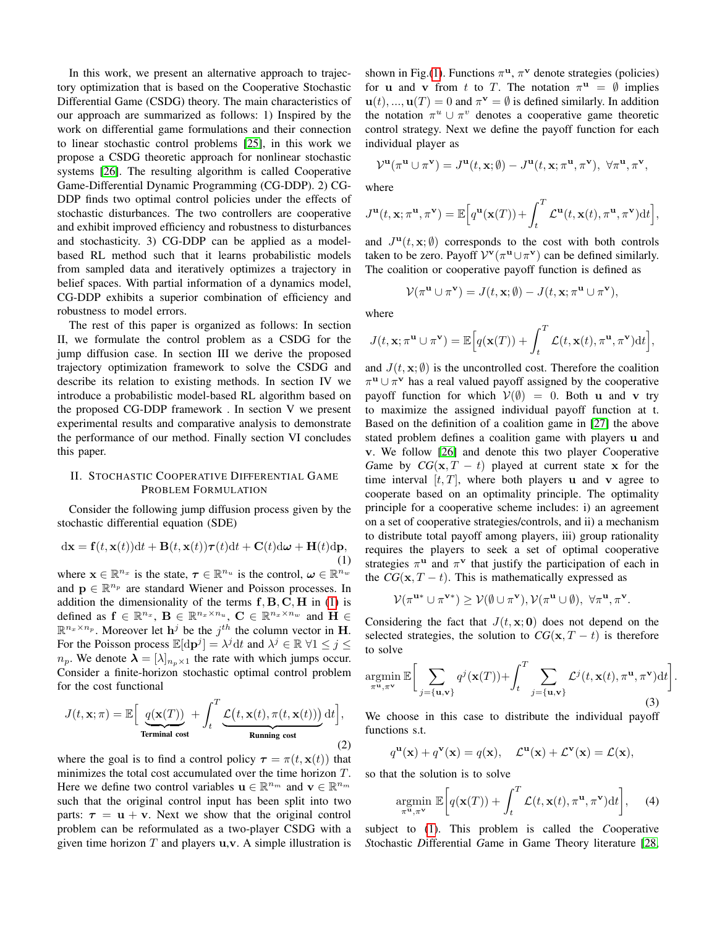In this work, we present an alternative approach to trajectory optimization that is based on the Cooperative Stochastic Differential Game (CSDG) theory. The main characteristics of our approach are summarized as follows: 1) Inspired by the work on differential game formulations and their connection to linear stochastic control problems [\[25\]](#page-8-20), in this work we propose a CSDG theoretic approach for nonlinear stochastic systems [\[26\]](#page-8-21). The resulting algorithm is called Cooperative Game-Differential Dynamic Programming (CG-DDP). 2) CG-DDP finds two optimal control policies under the effects of stochastic disturbances. The two controllers are cooperative and exhibit improved efficiency and robustness to disturbances and stochasticity. 3) CG-DDP can be applied as a modelbased RL method such that it learns probabilistic models from sampled data and iteratively optimizes a trajectory in belief spaces. With partial information of a dynamics model, CG-DDP exhibits a superior combination of efficiency and robustness to model errors.

The rest of this paper is organized as follows: In section II, we formulate the control problem as a CSDG for the jump diffusion case. In section III we derive the proposed trajectory optimization framework to solve the CSDG and describe its relation to existing methods. In section IV we introduce a probabilistic model-based RL algorithm based on the proposed CG-DDP framework . In section V we present experimental results and comparative analysis to demonstrate the performance of our method. Finally section VI concludes this paper.

# II. STOCHASTIC COOPERATIVE DIFFERENTIAL GAME PROBLEM FORMULATION

Consider the following jump diffusion process given by the stochastic differential equation (SDE)

$$
d\mathbf{x} = \mathbf{f}(t, \mathbf{x}(t))dt + \mathbf{B}(t, \mathbf{x}(t))\boldsymbol{\tau}(t)dt + \mathbf{C}(t)d\boldsymbol{\omega} + \mathbf{H}(t)d\mathbf{p},
$$
\n(1)

where  $\mathbf{x} \in \mathbb{R}^{n_x}$  is the state,  $\boldsymbol{\tau} \in \mathbb{R}^{n_u}$  is the control,  $\boldsymbol{\omega} \in \mathbb{R}^{n_w}$ and  $\mathbf{p} \in \mathbb{R}^{n_p}$  are standard Wiener and Poisson processes. In addition the dimensionality of the terms  $f, B, C, H$  in [\(1\)](#page-1-0) is defined as  $f \in \mathbb{R}^{n_x}$ ,  $B \in \mathbb{R}^{n_x \times n_u}$ ,  $C \in \mathbb{R}^{n_x \times n_w}$  and  $H \in$  $\mathbb{R}^{n_x \times n_p}$ . Moreover let  $h^j$  be the  $j^{th}$  the column vector in H. For the Poisson process  $\mathbb{E}[\mathrm{d} \mathbf{p}^j] = \lambda^j \mathrm{d} t$  and  $\lambda^j \in \mathbb{R}$   $\forall 1 \le j \le k$  $n_p$ . We denote  $\lambda = [\lambda]_{n_p \times 1}$  the rate with which jumps occur. Consider a finite-horizon stochastic optimal control problem for the cost functional

$$
J(t, \mathbf{x}; \pi) = \mathbb{E}\Big[\underbrace{q(\mathbf{x}(T))}_{\text{Terminal cost}} + \int_t^T \underbrace{\mathcal{L}(t, \mathbf{x}(t), \pi(t, \mathbf{x}(t)))}_{\text{Running cost}} dt\Big],
$$
\n(2)

where the goal is to find a control policy  $\tau = \pi(t, \mathbf{x}(t))$  that minimizes the total cost accumulated over the time horizon T. Here we define two control variables  $\mathbf{u} \in \mathbb{R}^{n_m}$  and  $\mathbf{v} \in \mathbb{R}^{n_m}$ such that the original control input has been split into two parts:  $\tau = u + v$ . Next we show that the original control problem can be reformulated as a two-player CSDG with a given time horizon  $T$  and players  $u, v$ . A simple illustration is

shown in Fig.[\(1\)](#page-2-0). Functions  $\pi^{\mathbf{u}}, \pi^{\mathbf{v}}$  denote strategies (policies) for **u** and **v** from t to T. The notation  $\pi^{\mathbf{u}} = \emptyset$  implies  $\mathbf{u}(t),...,\mathbf{u}(T) = 0$  and  $\pi^{\mathbf{v}} = \emptyset$  is defined similarly. In addition the notation  $\pi^u \cup \pi^v$  denotes a cooperative game theoretic control strategy. Next we define the payoff function for each individual player as

$$
\mathcal{V}^\mathbf{u}(\pi^\mathbf{u}\cup \pi^\mathbf{v})=J^\mathbf{u}(t,\mathbf{x};\emptyset)-J^\mathbf{u}(t,\mathbf{x};\pi^\mathbf{u},\pi^\mathbf{v}),\ \forall \pi^\mathbf{u},\pi^\mathbf{v},
$$

where

$$
J^{\mathbf{u}}(t, \mathbf{x}; \pi^{\mathbf{u}}, \pi^{\mathbf{v}}) = \mathbb{E}\Big[q^{\mathbf{u}}(\mathbf{x}(T)) + \int_{t}^{T} \mathcal{L}^{\mathbf{u}}(t, \mathbf{x}(t), \pi^{\mathbf{u}}, \pi^{\mathbf{v}}) dt\Big],
$$

and  $J^{\mathbf{u}}(t, \mathbf{x}; \emptyset)$  corresponds to the cost with both controls taken to be zero. Payoff  $V^{\mathbf{v}}(\pi^{\mathbf{u}} \cup \pi^{\mathbf{v}})$  can be defined similarly. The coalition or cooperative payoff function is defined as

$$
\mathcal{V}(\pi^{\mathbf{u}}\cup \pi^{\mathbf{v}})=J(t,\mathbf{x};\emptyset)-J(t,\mathbf{x};\pi^{\mathbf{u}}\cup \pi^{\mathbf{v}}),
$$

where

$$
J(t, \mathbf{x}; \pi^{\mathbf{u}} \cup \pi^{\mathbf{v}}) = \mathbb{E}\Big[q(\mathbf{x}(T)) + \int_t^T \mathcal{L}(t, \mathbf{x}(t), \pi^{\mathbf{u}}, \pi^{\mathbf{v}}) dt\Big],
$$

and  $J(t, \mathbf{x}; \emptyset)$  is the uncontrolled cost. Therefore the coalition  $\pi^{\mathbf{u}} \cup \pi^{\mathbf{v}}$  has a real valued payoff assigned by the cooperative payoff function for which  $V(\emptyset) = 0$ . Both u and v try to maximize the assigned individual payoff function at t. Based on the definition of a coalition game in [\[27\]](#page-8-22) the above stated problem defines a coalition game with players u and v. We follow [\[26\]](#page-8-21) and denote this two player *C*ooperative *Game by*  $CG(x, T - t)$  *played at current state x for the* time interval  $[t, T]$ , where both players **u** and **v** agree to cooperate based on an optimality principle. The optimality principle for a cooperative scheme includes: i) an agreement on a set of cooperative strategies/controls, and ii) a mechanism to distribute total payoff among players, iii) group rationality requires the players to seek a set of optimal cooperative strategies  $\pi$ <sup>u</sup> and  $\pi$ <sup>v</sup> that justify the participation of each in the  $CG(x, T - t)$ . This is mathematically expressed as

$$
\mathcal{V}(\pi^{\mathbf{u}*}\cup \pi^{\mathbf{v}*})\geq \mathcal{V}(\emptyset\cup \pi^{\mathbf{v}}),\mathcal{V}(\pi^{\mathbf{u}}\cup \emptyset),\ \forall \pi^{\mathbf{u}},\pi^{\mathbf{v}}.
$$

<span id="page-1-0"></span>Considering the fact that  $J(t, \mathbf{x}; \mathbf{0})$  does not depend on the selected strategies, the solution to  $CG(x, T - t)$  is therefore to solve

$$
\underset{\pi^{\mathbf{u}}, \pi^{\mathbf{v}}}{\operatorname{argmin}} \mathbb{E}\bigg[\sum_{j=\{\mathbf{u}, \mathbf{v}\}} q^j(\mathbf{x}(T)) + \int_t^T \sum_{j=\{\mathbf{u}, \mathbf{v}\}} \mathcal{L}^j(t, \mathbf{x}(t), \pi^{\mathbf{u}}, \pi^{\mathbf{v}}) dt\bigg]
$$
(3)

.

We choose in this case to distribute the individual payoff functions s.t.

$$
q^{\mathbf{u}}(\mathbf{x}) + q^{\mathbf{v}}(\mathbf{x}) = q(\mathbf{x}), \quad \mathcal{L}^{\mathbf{u}}(\mathbf{x}) + \mathcal{L}^{\mathbf{v}}(\mathbf{x}) = \mathcal{L}(\mathbf{x}),
$$

so that the solution is to solve

$$
\underset{\pi^{\mathbf{u}}, \pi^{\mathbf{v}}}{\operatorname{argmin}} \ \mathbb{E}\bigg[q(\mathbf{x}(T)) + \int_{t}^{T} \mathcal{L}(t, \mathbf{x}(t), \pi^{\mathbf{u}}, \pi^{\mathbf{v}}) \mathrm{d}t\bigg], \quad (4)
$$

subject to [\(1\)](#page-1-0). This problem is called the *C*ooperative *S*tochastic *D*ifferential *G*ame in Game Theory literature [\[28,](#page-8-23)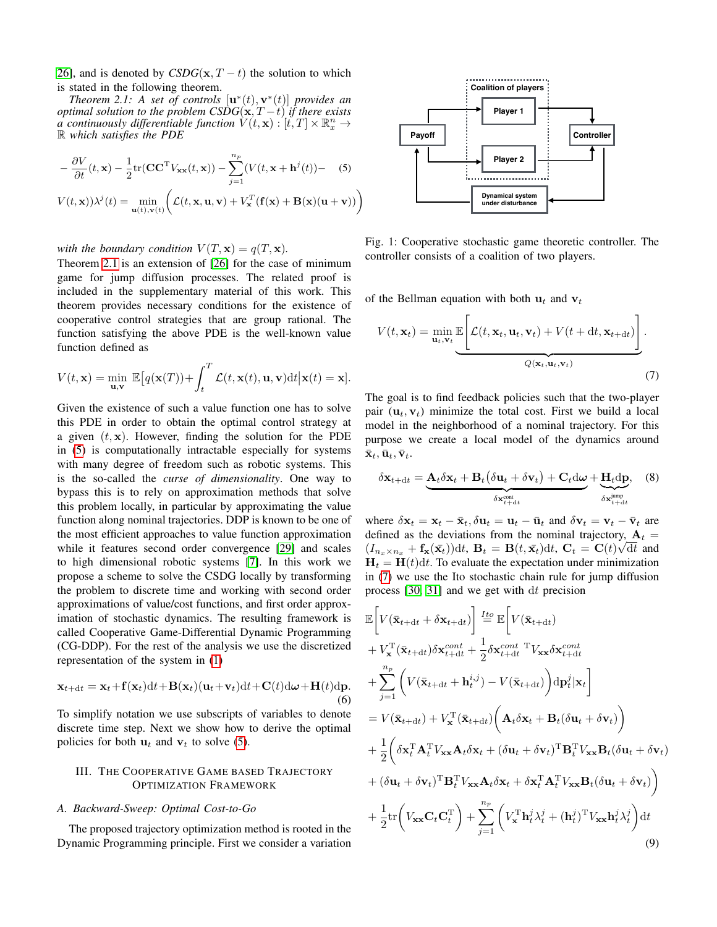[26\]](#page-8-21), and is denoted by  $CSDG(\mathbf{x}, T - t)$  the solution to which is stated in the following theorem.

<span id="page-2-1"></span>*Theorem 2.1:* A set of controls  $[\mathbf{u}^*(t), \mathbf{v}^*(t)]$  provides an *optimal solution to the problem CSDG* $(\mathbf{x}, T - t)$  *if there exists a* continuously differentiable function  $V(t, \mathbf{x}) : [t, T] \times \mathbb{R}_x^n \rightarrow$ R *which satisfies the PDE*

$$
-\frac{\partial V}{\partial t}(t, \mathbf{x}) - \frac{1}{2} \text{tr}(\mathbf{C} \mathbf{C}^{\text{T}} V_{\mathbf{xx}}(t, \mathbf{x})) - \sum_{j=1}^{n_p} (V(t, \mathbf{x} + \mathbf{h}^j(t)) - (5))
$$

$$
V(t, \mathbf{x}))\lambda^{j}(t) = \min_{\mathbf{u}(t), \mathbf{v}(t)} \bigg( \mathcal{L}(t, \mathbf{x}, \mathbf{u}, \mathbf{v}) + V_{\mathbf{x}}^{T}(\mathbf{f}(\mathbf{x}) + \mathbf{B}(\mathbf{x})(\mathbf{u} + \mathbf{v})) \bigg)
$$

*with the boundary condition*  $V(T, \mathbf{x}) = q(T, \mathbf{x})$ *.* 

Theorem [2.1](#page-2-1) is an extension of [\[26\]](#page-8-21) for the case of minimum game for jump diffusion processes. The related proof is included in the supplementary material of this work. This theorem provides necessary conditions for the existence of cooperative control strategies that are group rational. The function satisfying the above PDE is the well-known value function defined as

$$
V(t, \mathbf{x}) = \min_{\mathbf{u}, \mathbf{v}} \mathbb{E}\big[q(\mathbf{x}(T)) + \int_t^T \mathcal{L}(t, \mathbf{x}(t), \mathbf{u}, \mathbf{v}) \mathrm{d}t \big| \mathbf{x}(t) = \mathbf{x}\big].
$$

Given the existence of such a value function one has to solve this PDE in order to obtain the optimal control strategy at a given  $(t, x)$ . However, finding the solution for the PDE in [\(5\)](#page-2-2) is computationally intractable especially for systems with many degree of freedom such as robotic systems. This is the so-called the *curse of dimensionality*. One way to bypass this is to rely on approximation methods that solve this problem locally, in particular by approximating the value function along nominal trajectories. DDP is known to be one of the most efficient approaches to value function approximation while it features second order convergence [\[29\]](#page-8-24) and scales to high dimensional robotic systems [\[7\]](#page-8-2). In this work we propose a scheme to solve the CSDG locally by transforming the problem to discrete time and working with second order approximations of value/cost functions, and first order approximation of stochastic dynamics. The resulting framework is called Cooperative Game-Differential Dynamic Programming (CG-DDP). For the rest of the analysis we use the discretized representation of the system in [\(1\)](#page-1-0)

$$
\mathbf{x}_{t+dt} = \mathbf{x}_t + \mathbf{f}(\mathbf{x}_t)dt + \mathbf{B}(\mathbf{x}_t)(\mathbf{u}_t + \mathbf{v}_t)dt + \mathbf{C}(t)d\boldsymbol{\omega} + \mathbf{H}(t)d\mathbf{p}.
$$
  
(6)

To simplify notation we use subscripts of variables to denote discrete time step. Next we show how to derive the optimal policies for both  $u_t$  and  $v_t$  to solve [\(5\)](#page-2-2).

# III. THE COOPERATIVE GAME BASED TRAJECTORY OPTIMIZATION FRAMEWORK

#### <span id="page-2-5"></span>*A. Backward-Sweep: Optimal Cost-to-Go*

The proposed trajectory optimization method is rooted in the Dynamic Programming principle. First we consider a variation

<span id="page-2-0"></span>

<span id="page-2-2"></span>Fig. 1: Cooperative stochastic game theoretic controller. The controller consists of a coalition of two players.

of the Bellman equation with both  $u_t$  and  $v_t$ 

<span id="page-2-3"></span>
$$
V(t, \mathbf{x}_t) = \min_{\mathbf{u}_t, \mathbf{v}_t} \underbrace{\mathbb{E}\left[\mathcal{L}(t, \mathbf{x}_t, \mathbf{u}_t, \mathbf{v}_t) + V(t + dt, \mathbf{x}_{t+dt})\right]}_{Q(\mathbf{x}_t, \mathbf{u}_t, \mathbf{v}_t)}.
$$
\n(7)

The goal is to find feedback policies such that the two-player pair  $(\mathbf{u}_t, \mathbf{v}_t)$  minimize the total cost. First we build a local model in the neighborhood of a nominal trajectory. For this purpose we create a local model of the dynamics around  $\bar{\mathbf{x}}_t, \bar{\mathbf{u}}_t, \bar{\mathbf{v}}_t.$ 

$$
\delta \mathbf{x}_{t+dt} = \underbrace{\mathbf{A}_t \delta \mathbf{x}_t + \mathbf{B}_t (\delta \mathbf{u}_t + \delta \mathbf{v}_t) + \mathbf{C}_t d \boldsymbol{\omega}}_{\delta \mathbf{x}_{t+dt}^{\text{cont}}} + \underbrace{\mathbf{H}_t d \mathbf{p}}_{\delta \mathbf{x}_{t+dt}^{\text{jump}}}, \quad (8)
$$

where  $\delta \mathbf{x}_t = \mathbf{x}_t - \bar{\mathbf{x}}_t, \delta \mathbf{u}_t = \mathbf{u}_t - \bar{\mathbf{u}}_t$  and  $\delta \mathbf{v}_t = \mathbf{v}_t - \bar{\mathbf{v}}_t$  are defined as the deviations from the nominal trajectory,  $A_t =$  $(I_{n_x \times n_x} + \mathbf{f_x}(\bar{\mathbf{x}_t}))dt$ ,  $\mathbf{B}_t = \mathbf{B}(t, \bar{\mathbf{x}_t})dt$ ,  $\mathbf{C}_t = \mathbf{C}(t)\sqrt{dt}$  and  $H_t = H(t)dt$ . To evaluate the expectation under minimization in [\(7\)](#page-2-3) we use the Ito stochastic chain rule for jump diffusion process [\[30,](#page-8-25) [31\]](#page-8-26) and we get with dt precision

<span id="page-2-4"></span>
$$
\mathbb{E}\left[V(\bar{\mathbf{x}}_{t+\mathrm{d}t} + \delta \mathbf{x}_{t+\mathrm{d}t})\right] \stackrel{Ito}{=} \mathbb{E}\left[V(\bar{\mathbf{x}}_{t+\mathrm{d}t})
$$
\n
$$
+ V_{\mathbf{x}}^{\mathrm{T}}(\bar{\mathbf{x}}_{t+\mathrm{d}t})\delta \mathbf{x}_{t+\mathrm{d}t}^{cont} + \frac{1}{2}\delta \mathbf{x}_{t+\mathrm{d}t}^{cont}^{\mathrm{T}}V_{\mathbf{xx}}\delta \mathbf{x}_{t+\mathrm{d}t}^{cont}
$$
\n
$$
+ \sum_{j=1}^{n_p} \left(V(\bar{\mathbf{x}}_{t+\mathrm{d}t} + \mathbf{h}_t^{i,j}) - V(\bar{\mathbf{x}}_{t+\mathrm{d}t})\right) \mathrm{d} \mathbf{p}_t^j |\mathbf{x}_t\right]
$$
\n
$$
= V(\bar{\mathbf{x}}_{t+\mathrm{d}t}) + V_{\mathbf{x}}^{\mathrm{T}}(\bar{\mathbf{x}}_{t+\mathrm{d}t}) \left(\mathbf{A}_t \delta \mathbf{x}_t + \mathbf{B}_t (\delta \mathbf{u}_t + \delta \mathbf{v}_t)\right)
$$
\n
$$
+ \frac{1}{2} \left(\delta \mathbf{x}_t^{\mathrm{T}} \mathbf{A}_t^{\mathrm{T}} V_{\mathbf{xx}} \mathbf{A}_t \delta \mathbf{x}_t + (\delta \mathbf{u}_t + \delta \mathbf{v}_t)^{\mathrm{T}} \mathbf{B}_t^{\mathrm{T}} V_{\mathbf{xx}} \mathbf{B}_t (\delta \mathbf{u}_t + \delta \mathbf{v}_t)\right)
$$
\n
$$
+ (\delta \mathbf{u}_t + \delta \mathbf{v}_t)^{\mathrm{T}} \mathbf{B}_t^{\mathrm{T}} V_{\mathbf{xx}} \mathbf{A}_t \delta \mathbf{x}_t + \delta \mathbf{x}_t^{\mathrm{T}} \mathbf{A}_t^{\mathrm{T}} V_{\mathbf{xx}} \mathbf{B}_t (\delta \mathbf{u}_t + \delta \mathbf{v}_t))
$$
\n
$$
+ \frac{1}{2} \mathrm{tr}\left(V_{\mathbf{xx}} \mathbf{C}_t \mathbf{C}_t^{\mathrm{T}}\right) + \sum_{j=1}^{n_p} \left(V_{\mathbf{x}}^{\mathrm{T}} \mathbf{h}_t^j \lambda_t^j + (\mathbf{h}_t
$$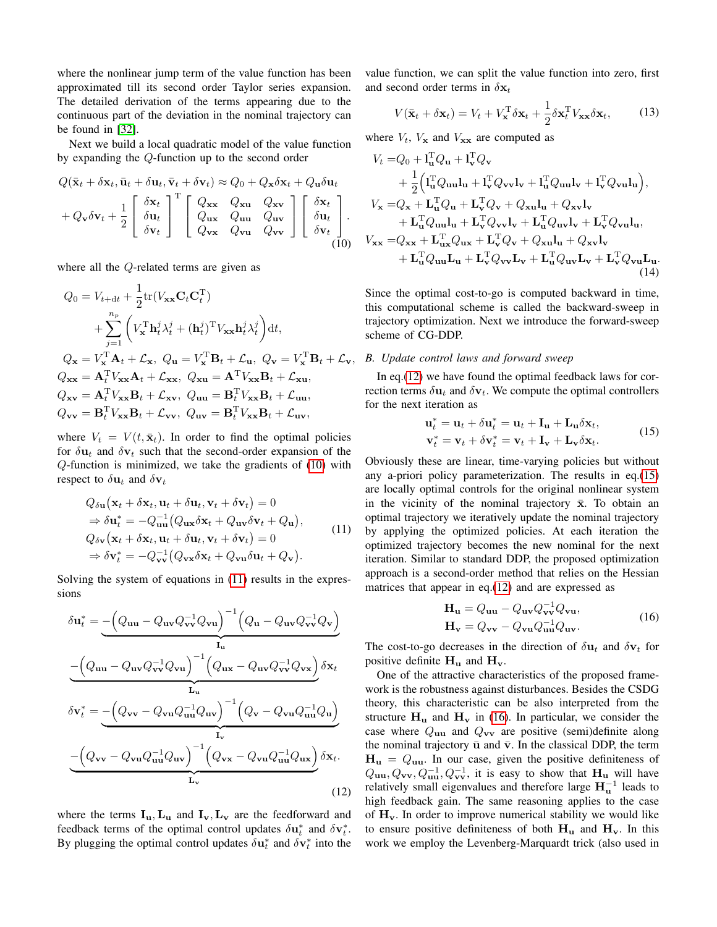where the nonlinear jump term of the value function has been approximated till its second order Taylor series expansion. The detailed derivation of the terms appearing due to the continuous part of the deviation in the nominal trajectory can be found in [\[32\]](#page-8-27).

Next we build a local quadratic model of the value function by expanding the Q-function up to the second order

$$
Q(\bar{\mathbf{x}}_t + \delta \mathbf{x}_t, \bar{\mathbf{u}}_t + \delta \mathbf{u}_t, \bar{\mathbf{v}}_t + \delta \mathbf{v}_t) \approx Q_0 + Q_{\mathbf{x}} \delta \mathbf{x}_t + Q_{\mathbf{u}} \delta \mathbf{u}_t
$$
  
+  $Q_{\mathbf{v}} \delta \mathbf{v}_t + \frac{1}{2} \begin{bmatrix} \delta \mathbf{x}_t \\ \delta \mathbf{u}_t \\ \delta \mathbf{v}_t \end{bmatrix}^{\mathrm{T}} \begin{bmatrix} Q_{\mathbf{x}\mathbf{x}} & Q_{\mathbf{x}\mathbf{u}} & Q_{\mathbf{x}\mathbf{v}} \\ Q_{\mathbf{u}\mathbf{x}} & Q_{\mathbf{u}\mathbf{u}} & Q_{\mathbf{u}\mathbf{v}} \\ Q_{\mathbf{v}\mathbf{x}} & Q_{\mathbf{v}\mathbf{u}} & Q_{\mathbf{v}\mathbf{v}} \end{bmatrix} \begin{bmatrix} \delta \mathbf{x}_t \\ \delta \mathbf{u}_t \\ \delta \mathbf{v}_t \end{bmatrix} .$   
(10)

where all the Q-related terms are given as

$$
Q_0 = V_{t+dt} + \frac{1}{2} \text{tr}(V_{\mathbf{xx}} \mathbf{C}_t \mathbf{C}_t^{\mathrm{T}})
$$
  
+ 
$$
\sum_{j=1}^{n_p} \left( V_{\mathbf{x}}^{\mathrm{T}} \mathbf{h}_t^j \lambda_t^j + (\mathbf{h}_t^j)^{\mathrm{T}} V_{\mathbf{xx}} \mathbf{h}_t^j \lambda_t^j \right) dt,
$$
  

$$
Q_{\mathbf{x}} = V_{\mathbf{x}}^{\mathrm{T}} \mathbf{A}_t + \mathcal{L}_{\mathbf{x}}, \ Q_{\mathbf{u}} = V_{\mathbf{x}}^{\mathrm{T}} \mathbf{B}_t + \mathcal{L}_{\mathbf{u}}, \ Q_{\mathbf{v}} = V_{\mathbf{x}}^{\mathrm{T}} \mathbf{B}_t + \mathcal{L}_{\mathbf{v}},
$$
  

$$
Q_{\mathbf{xx}} = \mathbf{A}_t^{\mathrm{T}} V_{\mathbf{xx}} \mathbf{A}_t + \mathcal{L}_{\mathbf{xx}}, \ Q_{\mathbf{x} \mathbf{u}} = \mathbf{A}_t^{\mathrm{T}} V_{\mathbf{xx}} \mathbf{B}_t + \mathcal{L}_{\mathbf{x} \mathbf{u}},
$$
  

$$
Q_{\mathbf{x} \mathbf{v}} = \mathbf{A}_t^{\mathrm{T}} V_{\mathbf{xx}} \mathbf{B}_t + \mathcal{L}_{\mathbf{x} \mathbf{v}}, \ Q_{\mathbf{uu}} = \mathbf{B}_t^{\mathrm{T}} V_{\mathbf{xx}} \mathbf{B}_t + \mathcal{L}_{\mathbf{uu}},
$$
  

$$
Q_{\mathbf{vv}} = \mathbf{B}_t^{\mathrm{T}} V_{\mathbf{xx}} \mathbf{B}_t + \mathcal{L}_{\mathbf{vv}}, \ Q_{\mathbf{uv}} = \mathbf{B}_t^{\mathrm{T}} V_{\mathbf{xx}} \mathbf{B}_t + \mathcal{L}_{\mathbf{uv}},
$$

where  $V_t = V(t, \bar{\mathbf{x}}_t)$ . In order to find the optimal policies for  $\delta u_t$  and  $\delta v_t$  such that the second-order expansion of the Q-function is minimized, we take the gradients of [\(10\)](#page-3-0) with respect to  $\delta \mathbf{u}_t$  and  $\delta \mathbf{v}_t$ 

<span id="page-3-1"></span>
$$
Q_{\delta \mathbf{u}}(\mathbf{x}_t + \delta \mathbf{x}_t, \mathbf{u}_t + \delta \mathbf{u}_t, \mathbf{v}_t + \delta \mathbf{v}_t) = 0
$$
  
\n
$$
\Rightarrow \delta \mathbf{u}_t^* = -Q_{\mathbf{uu}}^{-1} (Q_{\mathbf{ux}} \delta \mathbf{x}_t + Q_{\mathbf{uv}} \delta \mathbf{v}_t + Q_{\mathbf{u}}),
$$
  
\n
$$
Q_{\delta \mathbf{v}} (\mathbf{x}_t + \delta \mathbf{x}_t, \mathbf{u}_t + \delta \mathbf{u}_t, \mathbf{v}_t + \delta \mathbf{v}_t) = 0
$$
  
\n
$$
\Rightarrow \delta \mathbf{v}_t^* = -Q_{\mathbf{vv}}^{-1} (Q_{\mathbf{vx}} \delta \mathbf{x}_t + Q_{\mathbf{vu}} \delta \mathbf{u}_t + Q_{\mathbf{v}}).
$$
\n(11)

<span id="page-3-2"></span>Solving the system of equations in [\(11\)](#page-3-1) results in the expressions

$$
\delta \mathbf{u}_{t}^{*} = \underbrace{-\left(Q_{\mathbf{u}\mathbf{u}} - Q_{\mathbf{u}\mathbf{v}} Q_{\mathbf{v}\mathbf{v}}^{-1} Q_{\mathbf{v}\mathbf{u}}\right)^{-1} \left(Q_{\mathbf{u}} - Q_{\mathbf{u}\mathbf{v}} Q_{\mathbf{v}\mathbf{v}}^{-1} Q_{\mathbf{v}}\right)}_{\mathbf{L}_{\mathbf{u}}} \n-\left(Q_{\mathbf{u}\mathbf{u}} - Q_{\mathbf{u}\mathbf{v}} Q_{\mathbf{v}\mathbf{v}}^{-1} Q_{\mathbf{v}\mathbf{u}}\right)^{-1} \left(Q_{\mathbf{u}\mathbf{x}} - Q_{\mathbf{u}\mathbf{v}} Q_{\mathbf{v}\mathbf{v}}^{-1} Q_{\mathbf{v}\mathbf{x}}\right) \delta \mathbf{x}_{t} \n\delta \mathbf{v}_{t}^{*} = -\left(Q_{\mathbf{v}\mathbf{v}} - Q_{\mathbf{v}\mathbf{u}} Q_{\mathbf{u}\mathbf{u}}^{-1} Q_{\mathbf{u}\mathbf{v}}\right)^{-1} \left(Q_{\mathbf{v}} - Q_{\mathbf{v}\mathbf{u}} Q_{\mathbf{u}\mathbf{u}}^{-1} Q_{\mathbf{u}}\right) \n-\left(Q_{\mathbf{v}\mathbf{v}} - Q_{\mathbf{v}\mathbf{u}} Q_{\mathbf{u}\mathbf{u}}^{-1} Q_{\mathbf{u}\mathbf{v}}\right)^{-1} \left(Q_{\mathbf{v}\mathbf{x}} - Q_{\mathbf{v}\mathbf{u}} Q_{\mathbf{u}\mathbf{u}}^{-1} Q_{\mathbf{u}\mathbf{x}}\right) \delta \mathbf{x}_{t}.
$$
\n(12)

where the terms  $I_{u}$ ,  $L_{u}$  and  $I_{v}$ ,  $L_{v}$  are the feedforward and feedback terms of the optimal control updates  $\delta \mathbf{u}_t^*$  and  $\delta \mathbf{v}_t^*$ . By plugging the optimal control updates  $\delta \mathbf{u}_t^*$  and  $\delta \mathbf{v}_t^*$  into the

value function, we can split the value function into zero, first and second order terms in  $\delta x_t$ 

<span id="page-3-6"></span>
$$
V(\bar{\mathbf{x}}_t + \delta \mathbf{x}_t) = V_t + V_\mathbf{x}^\mathrm{T} \delta \mathbf{x}_t + \frac{1}{2} \delta \mathbf{x}_t^\mathrm{T} V_{\mathbf{x} \mathbf{x}} \delta \mathbf{x}_t, \tag{13}
$$

where  $V_t$ ,  $V_x$  and  $V_{xx}$  are computed as

<span id="page-3-0"></span>
$$
V_t = Q_0 + I_u^T Q_u + I_v^T Q_v
$$
  
+  $\frac{1}{2} (I_u^T Q_{uu} l_u + I_v^T Q_{vv} l_v + I_u^T Q_{uu} l_v + I_v^T Q_{vu} l_u),$   

$$
V_x = Q_x + L_u^T Q_u + L_v^T Q_v + Q_{xu} l_u + Q_{xv} l_v
$$
  
+  $L_u^T Q_{uu} l_u + L_v^T Q_{vv} l_v + L_u^T Q_{uv} l_v + L_v^T Q_{vu} l_u,$   

$$
V_{xx} = Q_{xx} + L_{ux}^T Q_{ux} + L_v^T Q_v + Q_{xu} l_u + Q_{xv} l_v
$$
  
+  $L_u^T Q_{uu} L_u + L_v^T Q_{vv} L_v + L_u^T Q_{uv} L_v + L_v^T Q_{vu} L_u.$   
(14)

Since the optimal cost-to-go is computed backward in time, this computational scheme is called the backward-sweep in trajectory optimization. Next we introduce the forward-sweep scheme of CG-DDP.

## <span id="page-3-5"></span>*B. Update control laws and forward sweep*

In eq.[\(12\)](#page-3-2) we have found the optimal feedback laws for correction terms  $\delta \mathbf{u}_t$  and  $\delta \mathbf{v}_t$ . We compute the optimal controllers for the next iteration as

<span id="page-3-3"></span>
$$
\mathbf{u}_t^* = \mathbf{u}_t + \delta \mathbf{u}_t^* = \mathbf{u}_t + \mathbf{I}_{\mathbf{u}} + \mathbf{L}_{\mathbf{u}} \delta \mathbf{x}_t, \n\mathbf{v}_t^* = \mathbf{v}_t + \delta \mathbf{v}_t^* = \mathbf{v}_t + \mathbf{I}_{\mathbf{v}} + \mathbf{L}_{\mathbf{v}} \delta \mathbf{x}_t.
$$
\n(15)

Obviously these are linear, time-varying policies but without any a-priori policy parameterization. The results in eq.[\(15\)](#page-3-3) are locally optimal controls for the original nonlinear system in the vicinity of the nominal trajectory  $\bar{x}$ . To obtain an optimal trajectory we iteratively update the nominal trajectory by applying the optimized policies. At each iteration the optimized trajectory becomes the new nominal for the next iteration. Similar to standard DDP, the proposed optimization approach is a second-order method that relies on the Hessian matrices that appear in eq.[\(12\)](#page-3-2) and are expressed as

<span id="page-3-4"></span>
$$
\mathbf{H}_{\mathbf{u}} = Q_{\mathbf{u}\mathbf{u}} - Q_{\mathbf{u}\mathbf{v}} Q_{\mathbf{v}\mathbf{v}}^{-1} Q_{\mathbf{v}\mathbf{u}},
$$
  
\n
$$
\mathbf{H}_{\mathbf{v}} = Q_{\mathbf{v}\mathbf{v}} - Q_{\mathbf{v}\mathbf{u}} Q_{\mathbf{u}\mathbf{u}}^{-1} Q_{\mathbf{u}\mathbf{v}}.
$$
\n(16)

The cost-to-go decreases in the direction of  $\delta u_t$  and  $\delta v_t$  for positive definite  $H_u$  and  $H_v$ .

One of the attractive characteristics of the proposed framework is the robustness against disturbances. Besides the CSDG theory, this characteristic can be also interpreted from the structure  $H_u$  and  $H_v$  in [\(16\)](#page-3-4). In particular, we consider the case where  $Q_{uu}$  and  $Q_{vv}$  are positive (semi)definite along the nominal trajectory  $\bar{u}$  and  $\bar{v}$ . In the classical DDP, the term  $H<sub>u</sub> = Q<sub>uu</sub>$ . In our case, given the positive definiteness of  $Q_{uu}, Q_{vv}, Q_{uu}^{-1}, Q_{vv}^{-1}$ , it is easy to show that  $H_u$  will have relatively small eigenvalues and therefore large  $H<sub>u</sub><sup>-1</sup>$  leads to high feedback gain. The same reasoning applies to the case of  $H_v$ . In order to improve numerical stability we would like to ensure positive definiteness of both  $H_u$  and  $H_v$ . In this work we employ the Levenberg-Marquardt trick (also used in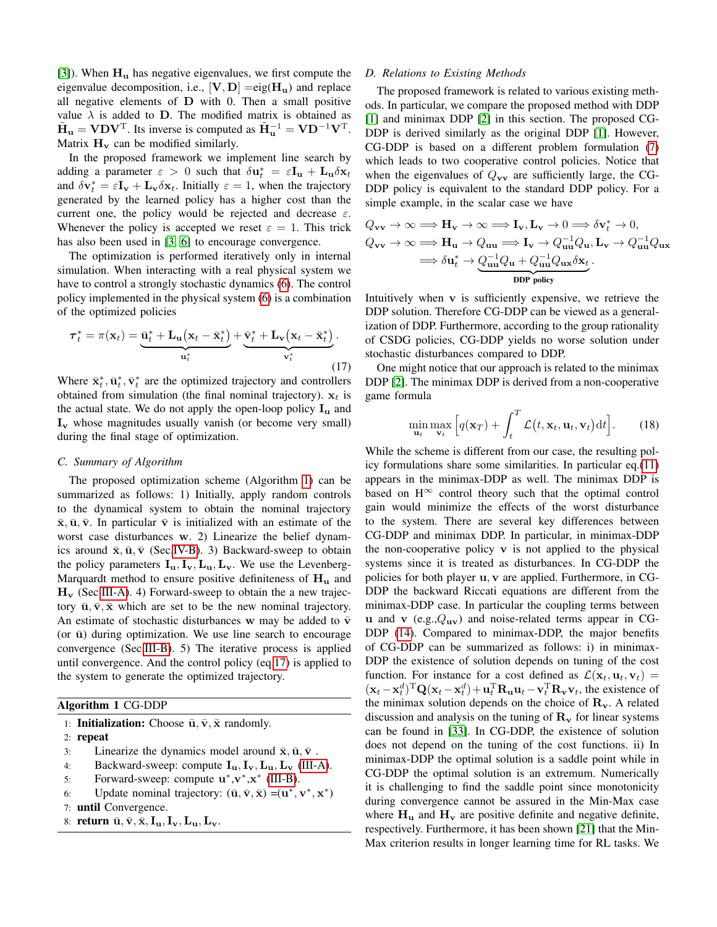[\[3\]](#page-7-2)). When  $H_u$  has negative eigenvalues, we first compute the eigenvalue decomposition, i.e.,  $[\mathbf{V}, \mathbf{D}] = eig(\mathbf{H}_{\mathbf{u}})$  and replace all negative elements of D with 0. Then a small positive value  $\lambda$  is added to D. The modified matrix is obtained as  $\tilde{\mathbf{H}}_{\mathbf{u}} = \mathbf{V} \mathbf{D} \mathbf{V}^{\mathrm{T}}$ . Its inverse is computed as  $\tilde{\mathbf{H}}_{\mathbf{u}}^{-1} = \mathbf{V} \mathbf{D}^{-1} \mathbf{V}^{\mathrm{T}}$ . Matrix  $H_v$  can be modified similarly.

In the proposed framework we implement line search by adding a parameter  $\varepsilon > 0$  such that  $\delta \mathbf{u}_t^* = \varepsilon \mathbf{I_u} + \mathbf{L_u} \delta \mathbf{x}_t$ and  $\delta \mathbf{v}_t^* = \varepsilon \mathbf{I}_v + \mathbf{L}_v \delta \mathbf{x}_t$ . Initially  $\varepsilon = 1$ , when the trajectory generated by the learned policy has a higher cost than the current one, the policy would be rejected and decrease  $\varepsilon$ . Whenever the policy is accepted we reset  $\varepsilon = 1$ . This trick has also been used in [\[3,](#page-7-2) [6\]](#page-8-1) to encourage convergence.

The optimization is performed iteratively only in internal simulation. When interacting with a real physical system we have to control a strongly stochastic dynamics [\(6\)](#page-2-4). The control policy implemented in the physical system [\(6\)](#page-2-4) is a combination of the optimized policies

<span id="page-4-1"></span>
$$
\boldsymbol{\tau}_t^* = \pi(\mathbf{x}_t) = \underbrace{\bar{\mathbf{u}}_t^* + \mathbf{L}_{\mathbf{u}}(\mathbf{x}_t - \bar{\mathbf{x}}_t^*)}_{\mathbf{u}_t^*} + \underbrace{\bar{\mathbf{v}}_t^* + \mathbf{L}_{\mathbf{v}}(\mathbf{x}_t - \bar{\mathbf{x}}_t^*)}_{\mathbf{v}_t^*}.
$$
\n(17)

Where  $\bar{\mathbf{x}}_t^*, \bar{\mathbf{u}}_t^*, \bar{\mathbf{v}}_t^*$  are the optimized trajectory and controllers obtained from simulation (the final nominal trajectory).  $x_t$  is the actual state. We do not apply the open-loop policy  $I_u$  and  $I_v$  whose magnitudes usually vanish (or become very small) during the final stage of optimization.

# *C. Summary of Algorithm*

The proposed optimization scheme (Algorithm [1\)](#page-4-0) can be summarized as follows: 1) Initially, apply random controls to the dynamical system to obtain the nominal trajectory  $\bar{x}, \bar{u}, \bar{v}$ . In particular  $\bar{v}$  is initialized with an estimate of the worst case disturbances w. 2) Linearize the belief dynamics around  $\bar{x}, \bar{u}, \bar{v}$  (Sec[.IV-B\)](#page-5-0). 3) Backward-sweep to obtain the policy parameters  $I_{u}$ ,  $I_{v}$ ,  $L_{u}$ ,  $L_{v}$ . We use the Levenberg-Marquardt method to ensure positive definiteness of  $H<sub>u</sub>$  and  $H_v$  (Sec[.III-A\)](#page-2-5). 4) Forward-sweep to obtain the a new trajectory  $\bar{u}, \bar{v}, \bar{x}$  which are set to be the new nominal trajectory. An estimate of stochastic disturbances w may be added to  $\bar{v}$ (or  $\bar{u}$ ) during optimization. We use line search to encourage convergence (Sec[.III-B\)](#page-3-5). 5) The iterative process is applied until convergence. And the control policy (eq[.17\)](#page-4-1) is applied to the system to generate the optimized trajectory.

# <span id="page-4-0"></span>Algorithm 1 CG-DDP

|  | 1: <b>Initialization:</b> Choose $\bar{u}, \bar{v}, \bar{x}$ randomly. |  |  |  |  |
|--|------------------------------------------------------------------------|--|--|--|--|
|--|------------------------------------------------------------------------|--|--|--|--|

- 2: repeat
- 3: Linearize the dynamics model around  $\bar{x}, \bar{u}, \bar{v}$ .
- 4: Backward-sweep: compute  $I_{u}$ ,  $I_{v}$ ,  $L_{u}$ ,  $L_{v}$  [\(III-A\)](#page-2-5).
- 5: Forward-sweep: compute  $\mathbf{u}^*, \mathbf{v}^*, \mathbf{x}^*$  [\(III-B\)](#page-3-5).
- 6: Update nominal trajectory:  $(\bar{u}, \bar{v}, \bar{x}) = (u^*, v^*, x^*)$

```
7: until Convergence.
```
8: return  $\bar{u}, \bar{v}, \bar{x}, I_u, I_v, L_u, L_v$ .

#### <span id="page-4-2"></span>*D. Relations to Existing Methods*

The proposed framework is related to various existing methods. In particular, we compare the proposed method with DDP [\[1\]](#page-7-0) and minimax DDP [\[2\]](#page-7-1) in this section. The proposed CG-DDP is derived similarly as the original DDP [\[1\]](#page-7-0). However, CG-DDP is based on a different problem formulation [\(7\)](#page-2-3) which leads to two cooperative control policies. Notice that when the eigenvalues of  $Q_{vv}$  are sufficiently large, the CG-DDP policy is equivalent to the standard DDP policy. For a simple example, in the scalar case we have

$$
Q_{\mathbf{vv}} \to \infty \Longrightarrow \mathbf{H}_{\mathbf{v}} \to \infty \Longrightarrow \mathbf{I}_{\mathbf{v}}, \mathbf{L}_{\mathbf{v}} \to 0 \Longrightarrow \delta \mathbf{v}_{t}^{*} \to 0,
$$
  
\n
$$
Q_{\mathbf{vv}} \to \infty \Longrightarrow \mathbf{H}_{\mathbf{u}} \to Q_{\mathbf{uu}} \Longrightarrow \mathbf{I}_{\mathbf{v}} \to Q_{\mathbf{uu}}^{-1} Q_{\mathbf{u}}, \mathbf{L}_{\mathbf{v}} \to Q_{\mathbf{uu}}^{-1} Q_{\mathbf{ux}}
$$
  
\n
$$
\Longrightarrow \delta \mathbf{u}_{t}^{*} \to Q_{\mathbf{uu}}^{-1} Q_{\mathbf{u}} + Q_{\mathbf{uu}}^{-1} Q_{\mathbf{ux}} \delta \mathbf{x}_{t}.
$$
  
\n
$$
\text{DDP policy}
$$

Intuitively when v is sufficiently expensive, we retrieve the DDP solution. Therefore CG-DDP can be viewed as a generalization of DDP. Furthermore, according to the group rationality of CSDG policies, CG-DDP yields no worse solution under stochastic disturbances compared to DDP.

One might notice that our approach is related to the minimax DDP [\[2\]](#page-7-1). The minimax DDP is derived from a non-cooperative game formula

<span id="page-4-3"></span>
$$
\min_{\mathbf{u}_t} \max_{\mathbf{v}_t} \left[ q(\mathbf{x}_T) + \int_t^T \mathcal{L}(t, \mathbf{x}_t, \mathbf{u}_t, \mathbf{v}_t) dt \right].
$$
 (18)

While the scheme is different from our case, the resulting policy formulations share some similarities. In particular eq.[\(11\)](#page-3-1) appears in the minimax-DDP as well. The minimax DDP is based on H<sup>∞</sup> control theory such that the optimal control gain would minimize the effects of the worst disturbance to the system. There are several key differences between CG-DDP and minimax DDP. In particular, in minimax-DDP the non-cooperative policy  $\bf{v}$  is not applied to the physical systems since it is treated as disturbances. In CG-DDP the policies for both player u, v are applied. Furthermore, in CG-DDP the backward Riccati equations are different from the minimax-DDP case. In particular the coupling terms between u and v  $(e.g.,Q_{uv})$  and noise-related terms appear in CG-DDP [\(14\)](#page-3-6). Compared to minimax-DDP, the major benefits of CG-DDP can be summarized as follows: i) in minimax-DDP the existence of solution depends on tuning of the cost function. For instance for a cost defined as  $\mathcal{L}(\mathbf{x}_t, \mathbf{u}_t, \mathbf{v}_t)$  =  $(\mathbf{x}_t - \mathbf{x}_t^d)^{\mathrm{T}} \mathbf{Q} (\mathbf{x}_t - \mathbf{x}_t^d) + \mathbf{u}_t^{\mathrm{T}} \mathbf{R}_{\mathbf{u}} \mathbf{u}_t - \mathbf{v}_t^{\mathrm{T}} \mathbf{R}_{\mathbf{v}} \mathbf{v}_t$ , the existence of the minimax solution depends on the choice of  $\mathbf{R}_{\mathbf{v}}$ . A related discussion and analysis on the tuning of  $\mathbf{R}_{\mathbf{v}}$  for linear systems can be found in [\[33\]](#page-8-28). In CG-DDP, the existence of solution does not depend on the tuning of the cost functions. ii) In minimax-DDP the optimal solution is a saddle point while in CG-DDP the optimal solution is an extremum. Numerically it is challenging to find the saddle point since monotonicity during convergence cannot be assured in the Min-Max case where  $H_u$  and  $H_v$  are positive definite and negative definite, respectively. Furthermore, it has been shown [\[21\]](#page-8-16) that the Min-Max criterion results in longer learning time for RL tasks. We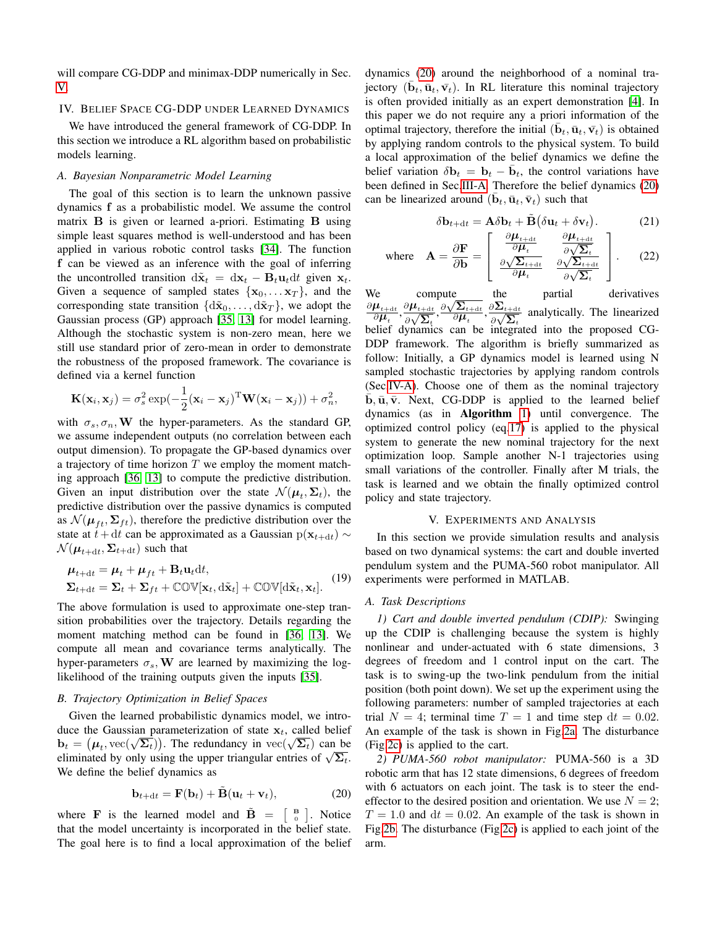will compare CG-DDP and minimax-DDP numerically in Sec. [V.](#page-5-1)

# IV. BELIEF SPACE CG-DDP UNDER LEARNED DYNAMICS

We have introduced the general framework of CG-DDP. In this section we introduce a RL algorithm based on probabilistic models learning.

# <span id="page-5-3"></span>*A. Bayesian Nonparametric Model Learning*

The goal of this section is to learn the unknown passive dynamics f as a probabilistic model. We assume the control matrix **B** is given or learned a-priori. Estimating **B** using simple least squares method is well-understood and has been applied in various robotic control tasks [\[34\]](#page-8-29). The function f can be viewed as an inference with the goal of inferring the uncontrolled transition  $d\tilde{\mathbf{x}}_t = d\mathbf{x}_t - \mathbf{B}_t \mathbf{u}_t dt$  given  $\mathbf{x}_t$ . Given a sequence of sampled states  $\{x_0, \ldots x_T\}$ , and the corresponding state transition  $\{\mathrm{d}\tilde{\mathbf{x}}_0, \ldots, \mathrm{d}\tilde{\mathbf{x}}_T\}$ , we adopt the Gaussian process (GP) approach [\[35,](#page-8-30) [13\]](#page-8-8) for model learning. Although the stochastic system is non-zero mean, here we still use standard prior of zero-mean in order to demonstrate the robustness of the proposed framework. The covariance is defined via a kernel function

$$
\mathbf{K}(\mathbf{x}_i, \mathbf{x}_j) = \sigma_s^2 \exp(-\frac{1}{2}(\mathbf{x}_i - \mathbf{x}_j)^{\mathrm{T}} \mathbf{W}(\mathbf{x}_i - \mathbf{x}_j)) + \sigma_n^2,
$$

with  $\sigma_s$ ,  $\sigma_n$ , W the hyper-parameters. As the standard GP, we assume independent outputs (no correlation between each output dimension). To propagate the GP-based dynamics over a trajectory of time horizon  $T$  we employ the moment matching approach [\[36,](#page-8-31) [13\]](#page-8-8) to compute the predictive distribution. Given an input distribution over the state  $\mathcal{N}(\boldsymbol{\mu}_t, \boldsymbol{\Sigma}_t)$ , the predictive distribution over the passive dynamics is computed as  $\mathcal{N}(\boldsymbol{\mu}_{ft}, \boldsymbol{\Sigma}_{ft})$ , therefore the predictive distribution over the state at  $t + dt$  can be approximated as a Gaussian p( $\mathbf{x}_{t+dt}$ ) ∼  $\mathcal{N}(\boldsymbol{\mu}_{t+\mathrm{d}t}, \boldsymbol{\Sigma}_{t+\mathrm{d}t})$  such that

$$
\mu_{t+dt} = \mu_t + \mu_{ft} + \mathbf{B}_t \mathbf{u}_t dt,
$$
  

$$
\Sigma_{t+dt} = \Sigma_t + \Sigma_{ft} + \mathbb{COV}[\mathbf{x}_t, \mathbf{d}\tilde{\mathbf{x}}_t] + \mathbb{COV}[\mathbf{d}\tilde{\mathbf{x}}_t, \mathbf{x}_t].
$$
 (19)

The above formulation is used to approximate one-step transition probabilities over the trajectory. Details regarding the moment matching method can be found in [\[36,](#page-8-31) [13\]](#page-8-8). We compute all mean and covariance terms analytically. The hyper-parameters  $\sigma_s$ , W are learned by maximizing the loglikelihood of the training outputs given the inputs [\[35\]](#page-8-30).

# <span id="page-5-0"></span>*B. Trajectory Optimization in Belief Spaces*

Given the learned probabilistic dynamics model, we introduce the Gaussian parameterization of state  $x_t$ , called belief bt  $\mathbf{b}_t = (\mu_t, \text{vec}(\sqrt{\Sigma_t}))$ . The redundancy in  $\text{vec}(\sqrt{\Sigma_t})$  can be  $\text{vec}(\sqrt{\Sigma_t})$ .  $\mathbf{b}_t = (\mu_t, \text{vec}(\sqrt{2}t))$ . The redundancy in  $\text{vec}(\sqrt{2}t)$  can be eliminated by only using the upper triangular entries of  $\sqrt{\Sigma_t}$ . We define the belief dynamics as

<span id="page-5-2"></span>
$$
\mathbf{b}_{t+dt} = \mathbf{F}(\mathbf{b}_t) + \tilde{\mathbf{B}}(\mathbf{u}_t + \mathbf{v}_t),
$$
 (20)

where **F** is the learned model and  $\tilde{\mathbf{B}} = \begin{bmatrix} B \\ 0 \end{bmatrix}$ . Notice that the model uncertainty is incorporated in the belief state. The goal here is to find a local approximation of the belief dynamics [\(20\)](#page-5-2) around the neighborhood of a nominal trajectory  $(\bar{\mathbf{b}}_t, \bar{\mathbf{u}}_t, \bar{\mathbf{v}}_t)$ . In RL literature this nominal trajectory is often provided initially as an expert demonstration [\[4\]](#page-7-3). In this paper we do not require any a priori information of the optimal trajectory, therefore the initial  $(\bar{\mathbf{b}}_t, \bar{\mathbf{u}}_t, \bar{\mathbf{v}}_t)$  is obtained by applying random controls to the physical system. To build a local approximation of the belief dynamics we define the belief variation  $\delta \mathbf{b}_t = \mathbf{b}_t - \bar{\mathbf{b}}_t$ , the control variations have been defined in Sec[.III-A.](#page-2-5) Therefore the belief dynamics [\(20\)](#page-5-2) can be linearized around  $(\bar{\mathbf{b}}_t, \bar{\mathbf{u}}_t, \bar{\mathbf{v}}_t)$  such that

$$
\delta \mathbf{b}_{t+dt} = \mathbf{A}\delta \mathbf{b}_t + \tilde{\mathbf{B}} \big( \delta \mathbf{u}_t + \delta \mathbf{v}_t \big). \tag{21}
$$

where 
$$
\mathbf{A} = \frac{\partial \mathbf{F}}{\partial \mathbf{b}} = \begin{bmatrix} \frac{\partial \boldsymbol{\mu}_{t+\text{dt}}}{\partial \boldsymbol{\mu}_t} & \frac{\partial \boldsymbol{\mu}_{t+\text{dt}}}{\partial \sqrt{\Sigma_t}} \\ \frac{\partial \sqrt{\Sigma_{t+\text{dt}}}}{\partial \boldsymbol{\mu}_t} & \frac{\partial \sqrt{\Sigma_{t+\text{dt}}}}{\partial \sqrt{\Sigma_t}} \end{bmatrix}
$$
. (22)

We compute the partial derivatives  $\partial \boldsymbol{\mu}_{t+\text{d}t}$  $\frac{\boldsymbol{\mu}_{t+\mathrm{d}t}}{\partial \boldsymbol{\mu}_t}, \frac{\partial \boldsymbol{\mu}_{t+\mathrm{d}t}}{\partial \sqrt{\boldsymbol{\Sigma}_t}}$  $\frac{\partial \boldsymbol{\mu}_t}{\partial \boldsymbol{\sqrt}}$  $\frac{\partial \sqrt{\mathbf{\Sigma}_{t+\text{d}t}}}{\mathbf{\Sigma}_{t}}, \frac{\partial \sqrt{\mathbf{\Sigma}_{t+\text{d}t}}}{\partial \boldsymbol{\mu}_{t}}$ compute  $\frac{\sqrt{\sum_{t+\text{d}t}}}{\partial \bm{\mu}_t}, \frac{\partial \bm{\Sigma}_{t+\text{d}t}}{\partial \sqrt{\bm{\Sigma}_t}}$ ∂∠<br>∂√  $\frac{z_{t}+dt}{\sum_{t}}$  analytically. The linearized belief dynamics can be integrated into the proposed CG-DDP framework. The algorithm is briefly summarized as follow: Initially, a GP dynamics model is learned using N sampled stochastic trajectories by applying random controls (Sec[.IV-A\)](#page-5-3). Choose one of them as the nominal trajectory  $\bar{b}, \bar{u}, \bar{v}$ . Next, CG-DDP is applied to the learned belief dynamics (as in Algorithm [1\)](#page-4-0) until convergence. The optimized control policy (eq[.17\)](#page-4-1) is applied to the physical system to generate the new nominal trajectory for the next optimization loop. Sample another N-1 trajectories using small variations of the controller. Finally after M trials, the task is learned and we obtain the finally optimized control policy and state trajectory.

## V. EXPERIMENTS AND ANALYSIS

<span id="page-5-1"></span>In this section we provide simulation results and analysis based on two dynamical systems: the cart and double inverted pendulum system and the PUMA-560 robot manipulator. All experiments were performed in MATLAB.

## *A. Task Descriptions*

*1) Cart and double inverted pendulum (CDIP):* Swinging up the CDIP is challenging because the system is highly nonlinear and under-actuated with 6 state dimensions, 3 degrees of freedom and 1 control input on the cart. The task is to swing-up the two-link pendulum from the initial position (both point down). We set up the experiment using the following parameters: number of sampled trajectories at each trial  $N = 4$ ; terminal time  $T = 1$  and time step  $dt = 0.02$ . An example of the task is shown in Fig[.2a.](#page-6-0) The disturbance (Fig[.2c\)](#page-6-0) is applied to the cart.

*2) PUMA-560 robot manipulator:* PUMA-560 is a 3D robotic arm that has 12 state dimensions, 6 degrees of freedom with 6 actuators on each joint. The task is to steer the endeffector to the desired position and orientation. We use  $N = 2$ ;  $T = 1.0$  and  $dt = 0.02$ . An example of the task is shown in Fig[.2b.](#page-6-0) The disturbance (Fig[.2c\)](#page-6-0) is applied to each joint of the arm.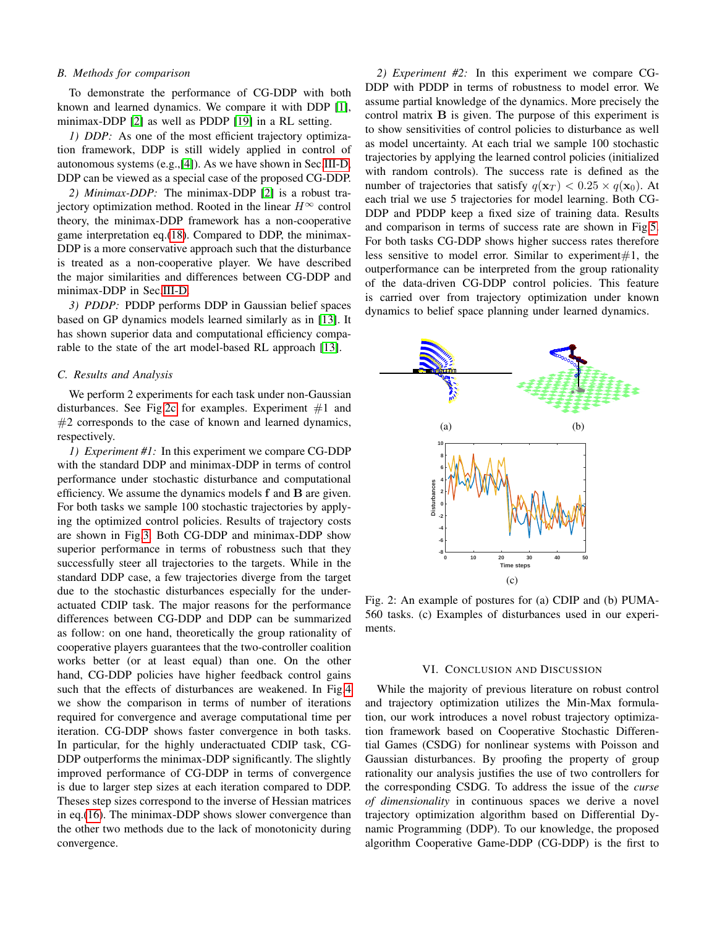## *B. Methods for comparison*

To demonstrate the performance of CG-DDP with both known and learned dynamics. We compare it with DDP [\[1\]](#page-7-0), minimax-DDP [\[2\]](#page-7-1) as well as PDDP [\[19\]](#page-8-14) in a RL setting.

*1) DDP:* As one of the most efficient trajectory optimization framework, DDP is still widely applied in control of autonomous systems (e.g.,[\[4\]](#page-7-3)). As we have shown in Sec[.III-D,](#page-4-2) DDP can be viewed as a special case of the proposed CG-DDP.

*2) Minimax-DDP:* The minimax-DDP [\[2\]](#page-7-1) is a robust trajectory optimization method. Rooted in the linear  $H^{\infty}$  control theory, the minimax-DDP framework has a non-cooperative game interpretation eq.[\(18\)](#page-4-3). Compared to DDP, the minimax-DDP is a more conservative approach such that the disturbance is treated as a non-cooperative player. We have described the major similarities and differences between CG-DDP and minimax-DDP in Sec[.III-D.](#page-4-2)

*3) PDDP:* PDDP performs DDP in Gaussian belief spaces based on GP dynamics models learned similarly as in [\[13\]](#page-8-8). It has shown superior data and computational efficiency comparable to the state of the art model-based RL approach [\[13\]](#page-8-8).

# *C. Results and Analysis*

We perform 2 experiments for each task under non-Gaussian disturbances. See Fig[.2c](#page-6-0) for examples. Experiment  $#1$  and  $#2$  corresponds to the case of known and learned dynamics, respectively.

*1) Experiment #1:* In this experiment we compare CG-DDP with the standard DDP and minimax-DDP in terms of control performance under stochastic disturbance and computational efficiency. We assume the dynamics models f and B are given. For both tasks we sample 100 stochastic trajectories by applying the optimized control policies. Results of trajectory costs are shown in Fig[.3.](#page-7-4) Both CG-DDP and minimax-DDP show superior performance in terms of robustness such that they successfully steer all trajectories to the targets. While in the standard DDP case, a few trajectories diverge from the target due to the stochastic disturbances especially for the underactuated CDIP task. The major reasons for the performance differences between CG-DDP and DDP can be summarized as follow: on one hand, theoretically the group rationality of cooperative players guarantees that the two-controller coalition works better (or at least equal) than one. On the other hand, CG-DDP policies have higher feedback control gains such that the effects of disturbances are weakened. In Fig[.4](#page-7-5) we show the comparison in terms of number of iterations required for convergence and average computational time per iteration. CG-DDP shows faster convergence in both tasks. In particular, for the highly underactuated CDIP task, CG-DDP outperforms the minimax-DDP significantly. The slightly improved performance of CG-DDP in terms of convergence is due to larger step sizes at each iteration compared to DDP. Theses step sizes correspond to the inverse of Hessian matrices in eq.[\(16\)](#page-3-4). The minimax-DDP shows slower convergence than the other two methods due to the lack of monotonicity during convergence.

*2) Experiment #2:* In this experiment we compare CG-DDP with PDDP in terms of robustness to model error. We assume partial knowledge of the dynamics. More precisely the control matrix B is given. The purpose of this experiment is to show sensitivities of control policies to disturbance as well as model uncertainty. At each trial we sample 100 stochastic trajectories by applying the learned control policies (initialized with random controls). The success rate is defined as the number of trajectories that satisfy  $q(\mathbf{x}_T) < 0.25 \times q(\mathbf{x}_0)$ . At each trial we use 5 trajectories for model learning. Both CG-DDP and PDDP keep a fixed size of training data. Results and comparison in terms of success rate are shown in Fig[.5.](#page-7-6) For both tasks CG-DDP shows higher success rates therefore less sensitive to model error. Similar to experiment $#1$ , the outperformance can be interpreted from the group rationality of the data-driven CG-DDP control policies. This feature is carried over from trajectory optimization under known dynamics to belief space planning under learned dynamics.

<span id="page-6-0"></span>

Fig. 2: An example of postures for (a) CDIP and (b) PUMA-560 tasks. (c) Examples of disturbances used in our experiments.

#### VI. CONCLUSION AND DISCUSSION

While the majority of previous literature on robust control and trajectory optimization utilizes the Min-Max formulation, our work introduces a novel robust trajectory optimization framework based on Cooperative Stochastic Differential Games (CSDG) for nonlinear systems with Poisson and Gaussian disturbances. By proofing the property of group rationality our analysis justifies the use of two controllers for the corresponding CSDG. To address the issue of the *curse of dimensionality* in continuous spaces we derive a novel trajectory optimization algorithm based on Differential Dynamic Programming (DDP). To our knowledge, the proposed algorithm Cooperative Game-DDP (CG-DDP) is the first to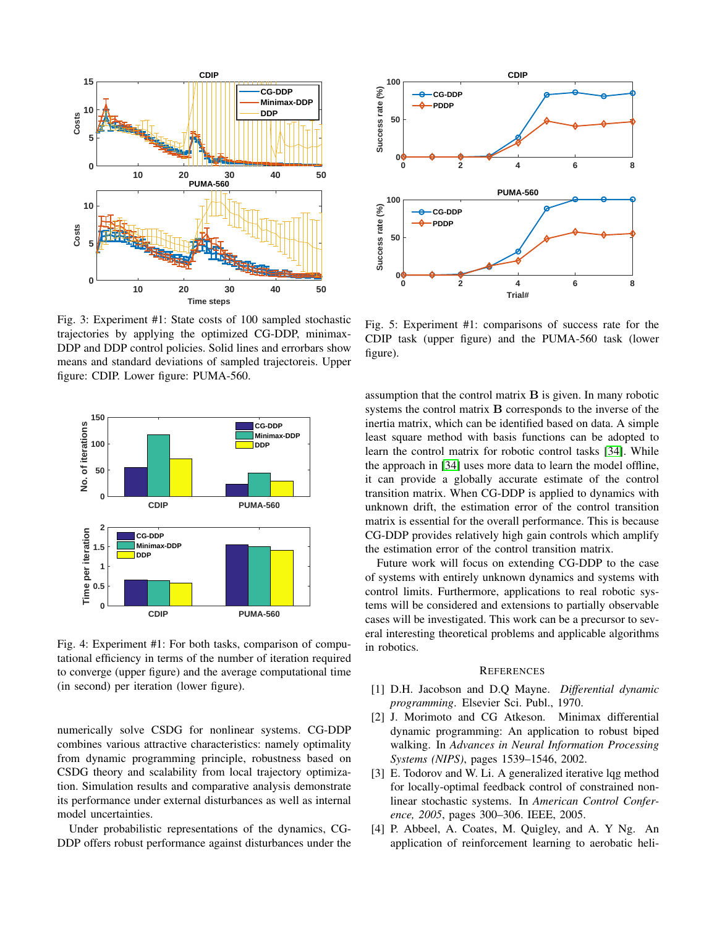<span id="page-7-4"></span>

Fig. 3: Experiment #1: State costs of 100 sampled stochastic trajectories by applying the optimized CG-DDP, minimax-DDP and DDP control policies. Solid lines and errorbars show means and standard deviations of sampled trajectoreis. Upper figure: CDIP. Lower figure: PUMA-560.

<span id="page-7-5"></span>

Fig. 4: Experiment #1: For both tasks, comparison of computational efficiency in terms of the number of iteration required to converge (upper figure) and the average computational time (in second) per iteration (lower figure).

numerically solve CSDG for nonlinear systems. CG-DDP combines various attractive characteristics: namely optimality from dynamic programming principle, robustness based on CSDG theory and scalability from local trajectory optimization. Simulation results and comparative analysis demonstrate its performance under external disturbances as well as internal model uncertainties.

Under probabilistic representations of the dynamics, CG-DDP offers robust performance against disturbances under the

<span id="page-7-6"></span>

Fig. 5: Experiment #1: comparisons of success rate for the CDIP task (upper figure) and the PUMA-560 task (lower figure).

assumption that the control matrix  $\bf{B}$  is given. In many robotic systems the control matrix B corresponds to the inverse of the inertia matrix, which can be identified based on data. A simple least square method with basis functions can be adopted to learn the control matrix for robotic control tasks [\[34\]](#page-8-29). While the approach in [\[34\]](#page-8-29) uses more data to learn the model offline, it can provide a globally accurate estimate of the control transition matrix. When CG-DDP is applied to dynamics with unknown drift, the estimation error of the control transition matrix is essential for the overall performance. This is because CG-DDP provides relatively high gain controls which amplify the estimation error of the control transition matrix.

Future work will focus on extending CG-DDP to the case of systems with entirely unknown dynamics and systems with control limits. Furthermore, applications to real robotic systems will be considered and extensions to partially observable cases will be investigated. This work can be a precursor to several interesting theoretical problems and applicable algorithms in robotics.

## **REFERENCES**

- <span id="page-7-0"></span>[1] D.H. Jacobson and D.Q Mayne. *Differential dynamic programming*. Elsevier Sci. Publ., 1970.
- <span id="page-7-1"></span>[2] J. Morimoto and CG Atkeson. Minimax differential dynamic programming: An application to robust biped walking. In *Advances in Neural Information Processing Systems (NIPS)*, pages 1539–1546, 2002.
- <span id="page-7-2"></span>[3] E. Todorov and W. Li. A generalized iterative lqg method for locally-optimal feedback control of constrained nonlinear stochastic systems. In *American Control Conference, 2005*, pages 300–306. IEEE, 2005.
- <span id="page-7-3"></span>[4] P. Abbeel, A. Coates, M. Quigley, and A. Y Ng. An application of reinforcement learning to aerobatic heli-